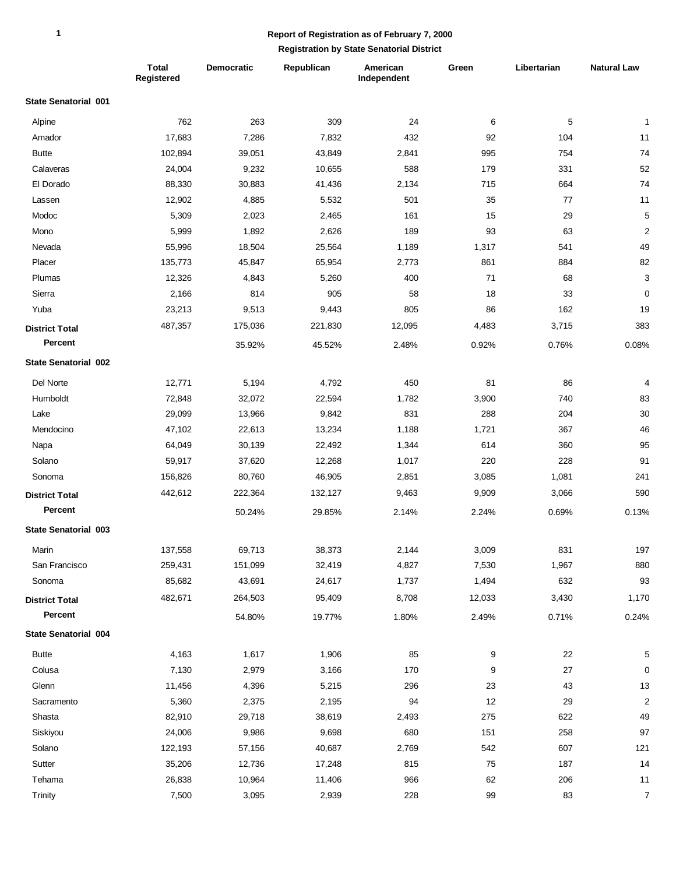### **1**

### **Report of Registration as of February 7, 2000**

|                             | <b>Total</b><br>Registered | Democratic | Republican | American<br>Independent | Green  | Libertarian | <b>Natural Law</b>      |
|-----------------------------|----------------------------|------------|------------|-------------------------|--------|-------------|-------------------------|
| <b>State Senatorial 001</b> |                            |            |            |                         |        |             |                         |
| Alpine                      | 762                        | 263        | 309        | 24                      | 6      | 5           | 1                       |
| Amador                      | 17,683                     | 7,286      | 7,832      | 432                     | 92     | 104         | 11                      |
| <b>Butte</b>                | 102,894                    | 39,051     | 43,849     | 2,841                   | 995    | 754         | 74                      |
| Calaveras                   | 24,004                     | 9,232      | 10,655     | 588                     | 179    | 331         | 52                      |
| El Dorado                   | 88,330                     | 30,883     | 41,436     | 2,134                   | 715    | 664         | 74                      |
| Lassen                      | 12,902                     | 4,885      | 5,532      | 501                     | 35     | 77          | 11                      |
| Modoc                       | 5,309                      | 2,023      | 2,465      | 161                     | 15     | 29          | 5                       |
| Mono                        | 5,999                      | 1,892      | 2,626      | 189                     | 93     | 63          | $\overline{c}$          |
| Nevada                      | 55,996                     | 18,504     | 25,564     | 1,189                   | 1,317  | 541         | 49                      |
| Placer                      | 135,773                    | 45,847     | 65,954     | 2,773                   | 861    | 884         | 82                      |
| Plumas                      | 12,326                     | 4,843      | 5,260      | 400                     | 71     | 68          | 3                       |
| Sierra                      | 2,166                      | 814        | 905        | 58                      | 18     | 33          | $\mathbf 0$             |
| Yuba                        | 23,213                     | 9,513      | 9,443      | 805                     | 86     | 162         | 19                      |
| <b>District Total</b>       | 487,357                    | 175,036    | 221,830    | 12,095                  | 4,483  | 3,715       | 383                     |
| Percent                     |                            | 35.92%     | 45.52%     | 2.48%                   | 0.92%  | 0.76%       | 0.08%                   |
| <b>State Senatorial 002</b> |                            |            |            |                         |        |             |                         |
| Del Norte                   | 12,771                     | 5,194      | 4,792      | 450                     | 81     | 86          | 4                       |
| Humboldt                    | 72,848                     | 32,072     | 22,594     | 1,782                   | 3,900  | 740         | 83                      |
| Lake                        | 29,099                     | 13,966     | 9,842      | 831                     | 288    | 204         | 30                      |
| Mendocino                   | 47,102                     | 22,613     | 13,234     | 1,188                   | 1,721  | 367         | 46                      |
| Napa                        | 64,049                     | 30,139     | 22,492     | 1,344                   | 614    | 360         | 95                      |
| Solano                      | 59,917                     | 37,620     | 12,268     | 1,017                   | 220    | 228         | 91                      |
| Sonoma                      | 156,826                    | 80,760     | 46,905     | 2,851                   | 3,085  | 1,081       | 241                     |
| <b>District Total</b>       | 442,612                    | 222,364    | 132,127    | 9,463                   | 9,909  | 3,066       | 590                     |
| Percent                     |                            | 50.24%     | 29.85%     | 2.14%                   | 2.24%  | 0.69%       | 0.13%                   |
| <b>State Senatorial 003</b> |                            |            |            |                         |        |             |                         |
| Marin                       | 137,558                    | 69,713     | 38,373     | 2,144                   | 3,009  | 831         | 197                     |
| San Francisco               | 259,431                    | 151,099    | 32,419     | 4,827                   | 7,530  | 1,967       | 880                     |
| Sonoma                      | 85,682                     | 43,691     | 24,617     | 1,737                   | 1,494  | 632         | 93                      |
| <b>District Total</b>       | 482,671                    | 264,503    | 95,409     | 8,708                   | 12,033 | 3,430       | 1,170                   |
| Percent                     |                            | 54.80%     | 19.77%     | 1.80%                   | 2.49%  | 0.71%       | 0.24%                   |
| <b>State Senatorial 004</b> |                            |            |            |                         |        |             |                         |
| <b>Butte</b>                | 4,163                      | 1,617      | 1,906      | 85                      | 9      | 22          | 5                       |
| Colusa                      | 7,130                      | 2,979      | 3,166      | 170                     | 9      | 27          | 0                       |
| Glenn                       | 11,456                     | 4,396      | 5,215      | 296                     | 23     | 43          | 13                      |
| Sacramento                  | 5,360                      | 2,375      | 2,195      | 94                      | 12     | 29          | $\overline{\mathbf{c}}$ |
| Shasta                      | 82,910                     | 29,718     | 38,619     | 2,493                   | 275    | 622         | 49                      |
| Siskiyou                    | 24,006                     | 9,986      | 9,698      | 680                     | 151    | 258         | 97                      |
| Solano                      | 122,193                    | 57,156     | 40,687     | 2,769                   | 542    | 607         | 121                     |
| Sutter                      | 35,206                     | 12,736     | 17,248     | 815                     | 75     | 187         | 14                      |
| Tehama                      | 26,838                     | 10,964     | 11,406     | 966                     | 62     | 206         | 11                      |
| Trinity                     | 7,500                      | 3,095      | 2,939      | 228                     | 99     | 83          | $\overline{7}$          |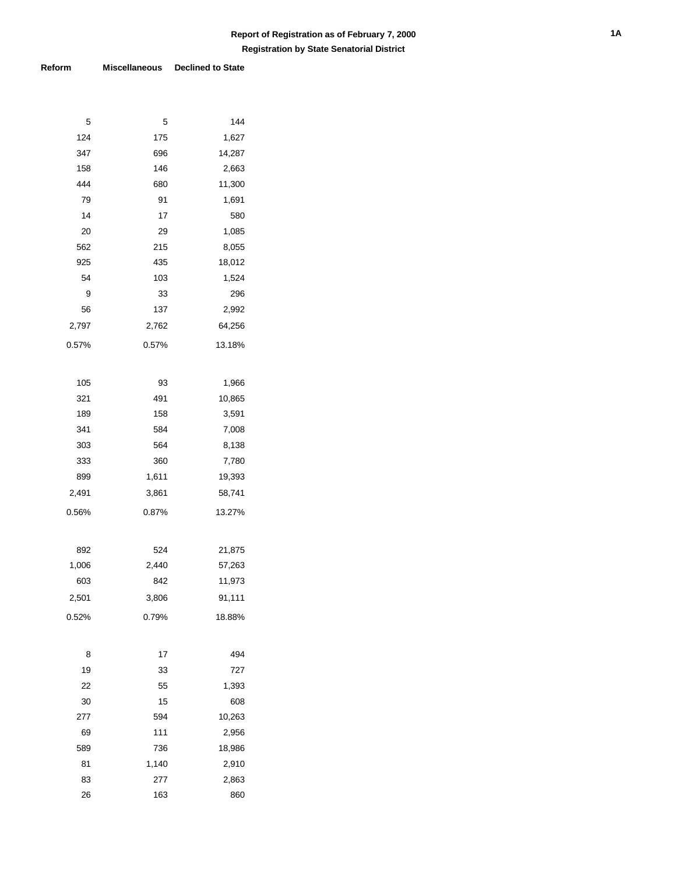| 5     | 5     | 144    |
|-------|-------|--------|
| 124   | 175   | 1,627  |
| 347   | 696   | 14,287 |
| 158   | 146   | 2,663  |
| 444   | 680   | 11,300 |
| 79    | 91    | 1,691  |
| 14    | 17    | 580    |
| 20    | 29    | 1,085  |
| 562   | 215   | 8,055  |
| 925   | 435   | 18,012 |
| 54    | 103   | 1,524  |
| 9     | 33    | 296    |
| 56    | 137   | 2,992  |
| 2,797 | 2,762 | 64,256 |
| 0.57% | 0.57% | 13.18% |
|       |       |        |
| 105   | 93    | 1,966  |
| 321   | 491   | 10,865 |
| 189   | 158   | 3,591  |
| 341   | 584   | 7,008  |
| 303   | 564   | 8,138  |
| 333   | 360   | 7,780  |
| 899   | 1,611 | 19,393 |
| 2,491 | 3,861 | 58,741 |
| 0.56% | 0.87% | 13.27% |
|       |       |        |
| 892   | 524   | 21,875 |
| 1,006 | 2,440 | 57,263 |
| 603   | 842   | 11,973 |
| 2,501 | 3,806 | 91,111 |
|       |       |        |
| 0.52% | 0.79% | 18.88% |
|       |       |        |
| 8     | 17    | 494    |
| 19    | 33    | 727    |
| 22    | 55    | 1,393  |
| 30    | 15    | 608    |
| 277   | 594   | 10,263 |
| 69    | 111   | 2,956  |
| 589   | 736   | 18,986 |
| 81    | 1,140 | 2,910  |
| 83    | 277   | 2,863  |
| 26    | 163   | 860    |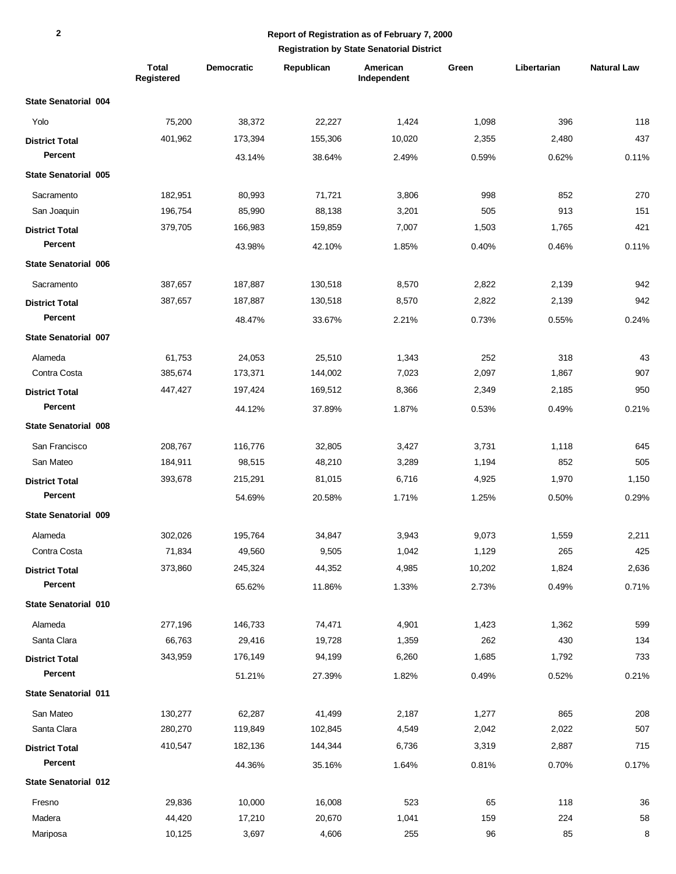|                             | <b>Total</b><br>Registered | <b>Democratic</b> | Republican | American<br>Independent | Green  | Libertarian | <b>Natural Law</b> |
|-----------------------------|----------------------------|-------------------|------------|-------------------------|--------|-------------|--------------------|
| <b>State Senatorial 004</b> |                            |                   |            |                         |        |             |                    |
| Yolo                        | 75,200                     | 38,372            | 22,227     | 1,424                   | 1,098  | 396         | 118                |
| <b>District Total</b>       | 401,962                    | 173,394           | 155,306    | 10,020                  | 2,355  | 2,480       | 437                |
| Percent                     |                            | 43.14%            | 38.64%     | 2.49%                   | 0.59%  | 0.62%       | 0.11%              |
| <b>State Senatorial 005</b> |                            |                   |            |                         |        |             |                    |
| Sacramento                  | 182,951                    | 80,993            | 71,721     | 3,806                   | 998    | 852         | 270                |
| San Joaquin                 | 196,754                    | 85,990            | 88,138     | 3,201                   | 505    | 913         | 151                |
| <b>District Total</b>       | 379,705                    | 166,983           | 159,859    | 7,007                   | 1,503  | 1,765       | 421                |
| Percent                     |                            | 43.98%            | 42.10%     | 1.85%                   | 0.40%  | 0.46%       | 0.11%              |
| <b>State Senatorial 006</b> |                            |                   |            |                         |        |             |                    |
| Sacramento                  | 387,657                    | 187,887           | 130,518    | 8,570                   | 2,822  | 2,139       | 942                |
| <b>District Total</b>       | 387,657                    | 187,887           | 130,518    | 8,570                   | 2,822  | 2,139       | 942                |
| <b>Percent</b>              |                            | 48.47%            | 33.67%     | 2.21%                   | 0.73%  | 0.55%       | 0.24%              |
| <b>State Senatorial 007</b> |                            |                   |            |                         |        |             |                    |
| Alameda                     | 61,753                     | 24,053            | 25,510     | 1,343                   | 252    | 318         | 43                 |
| Contra Costa                | 385,674                    | 173,371           | 144,002    | 7,023                   | 2,097  | 1,867       | 907                |
| <b>District Total</b>       | 447,427                    | 197,424           | 169,512    | 8,366                   | 2,349  | 2,185       | 950                |
| Percent                     |                            | 44.12%            | 37.89%     | 1.87%                   | 0.53%  | 0.49%       | 0.21%              |
| <b>State Senatorial 008</b> |                            |                   |            |                         |        |             |                    |
| San Francisco               | 208,767                    | 116,776           | 32,805     | 3,427                   | 3,731  | 1,118       | 645                |
| San Mateo                   | 184,911                    | 98,515            | 48,210     | 3,289                   | 1,194  | 852         | 505                |
| <b>District Total</b>       | 393,678                    | 215,291           | 81,015     | 6,716                   | 4,925  | 1,970       | 1,150              |
| Percent                     |                            | 54.69%            | 20.58%     | 1.71%                   | 1.25%  | 0.50%       | 0.29%              |
| <b>State Senatorial 009</b> |                            |                   |            |                         |        |             |                    |
| Alameda                     | 302,026                    | 195,764           | 34,847     | 3,943                   | 9,073  | 1,559       | 2,211              |
| Contra Costa                | 71,834                     | 49,560            | 9,505      | 1,042                   | 1,129  | 265         | 425                |
| <b>District Total</b>       | 373,860                    | 245,324           | 44,352     | 4,985                   | 10,202 | 1,824       | 2,636              |
| Percent                     |                            | 65.62%            | 11.86%     | 1.33%                   | 2.73%  | 0.49%       | 0.71%              |
| State Senatorial 010        |                            |                   |            |                         |        |             |                    |
| Alameda                     | 277,196                    | 146,733           | 74,471     | 4,901                   | 1,423  | 1,362       | 599                |
| Santa Clara                 | 66,763                     | 29,416            | 19,728     | 1,359                   | 262    | 430         | 134                |
| <b>District Total</b>       | 343,959                    | 176,149           | 94,199     | 6,260                   | 1,685  | 1,792       | 733                |
| Percent                     |                            | 51.21%            | 27.39%     | 1.82%                   | 0.49%  | 0.52%       | 0.21%              |
| <b>State Senatorial 011</b> |                            |                   |            |                         |        |             |                    |
| San Mateo                   | 130,277                    | 62,287            | 41,499     | 2,187                   | 1,277  | 865         | 208                |
| Santa Clara                 | 280,270                    | 119,849           | 102,845    | 4,549                   | 2,042  | 2,022       | 507                |
| <b>District Total</b>       | 410,547                    | 182,136           | 144,344    | 6,736                   | 3,319  | 2,887       | 715                |
| Percent                     |                            | 44.36%            | 35.16%     | 1.64%                   | 0.81%  | 0.70%       | 0.17%              |
| <b>State Senatorial 012</b> |                            |                   |            |                         |        |             |                    |
| Fresno                      | 29,836                     | 10,000            | 16,008     | 523                     | 65     | 118         | 36                 |
| Madera                      | 44,420                     | 17,210            | 20,670     | 1,041                   | 159    | 224         | 58                 |
| Mariposa                    | 10,125                     | 3,697             | 4,606      | 255                     | 96     | 85          | 8                  |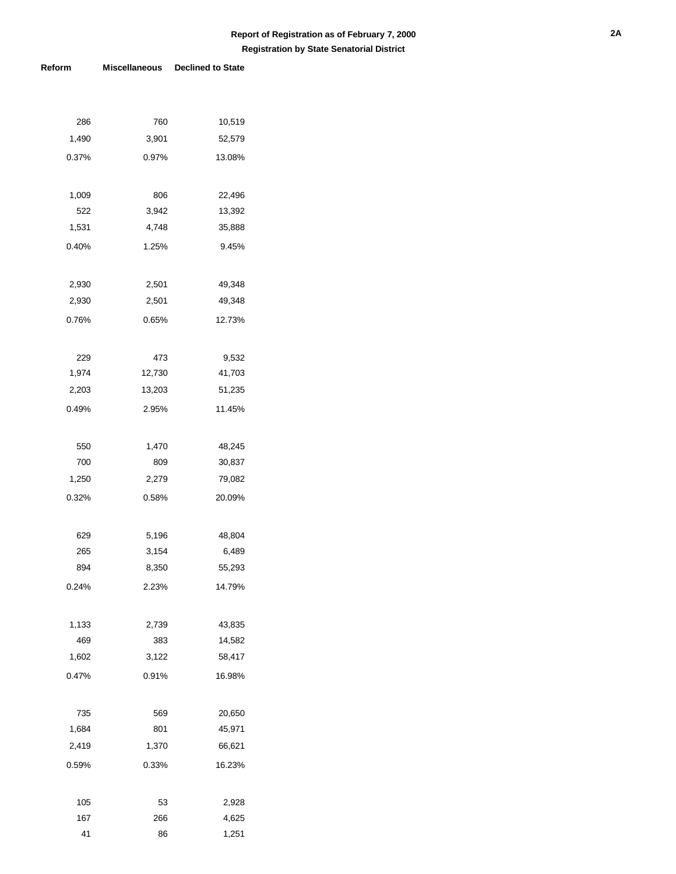| 286   | 760    | 10,519         |
|-------|--------|----------------|
| 1,490 | 3,901  | 52,579         |
| 0.37% | 0.97%  | 13.08%         |
|       |        |                |
| 1,009 | 806    | 22,496         |
| 522   | 3,942  | 13,392         |
| 1,531 | 4,748  | 35,888         |
| 0.40% | 1.25%  | 9.45%          |
|       |        |                |
| 2,930 | 2,501  | 49,348         |
| 2,930 | 2,501  | 49,348         |
| 0.76% | 0.65%  | 12.73%         |
|       |        |                |
| 229   | 473    | 9,532          |
| 1,974 | 12,730 | 41,703         |
| 2,203 | 13,203 | 51,235         |
|       |        |                |
| 0.49% | 2.95%  | 11.45%         |
|       |        |                |
| 550   | 1,470  | 48,245         |
| 700   | 809    | 30,837         |
| 1,250 | 2,279  | 79,082         |
| 0.32% | 0.58%  | 20.09%         |
|       |        |                |
| 629   | 5,196  | 48,804         |
| 265   | 3,154  | 6,489          |
| 894   | 8,350  | 55,293         |
| 0.24% | 2.23%  | 14.79%         |
|       |        |                |
| 1,133 | 2,739  | 43,835         |
| 469   | 383    | 14,582         |
| 1,602 | 3,122  | 58,417         |
| 0.47% | 0.91%  | 16.98%         |
|       |        |                |
| 735   | 569    | 20,650         |
| 1,684 | 801    | 45,971         |
| 2,419 | 1,370  | 66,621         |
| 0.59% | 0.33%  | 16.23%         |
|       |        |                |
| 105   | 53     |                |
| 167   | 266    | 2,928<br>4,625 |
| 41    | 86     | 1,251          |
|       |        |                |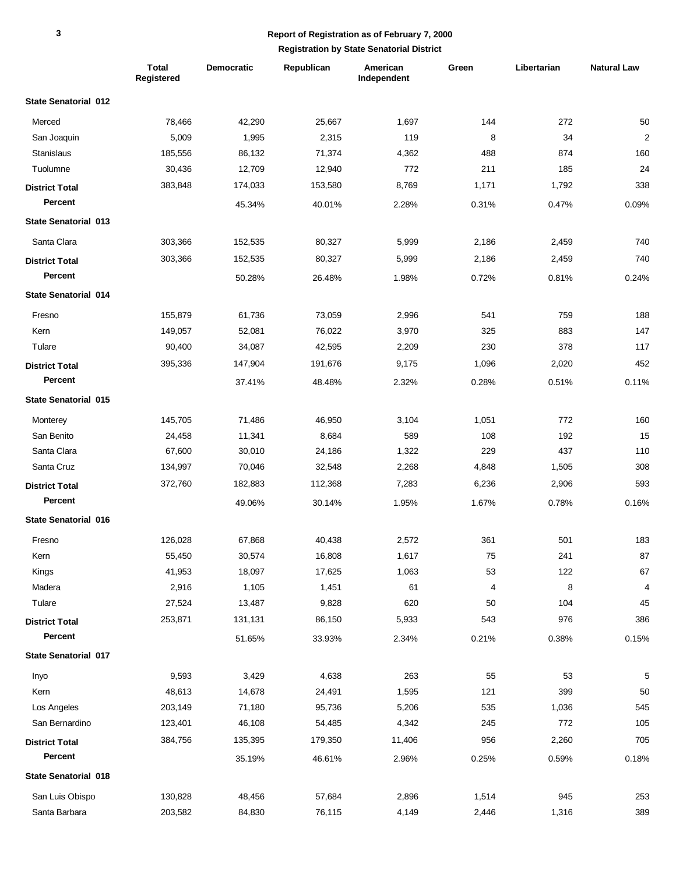|                             | <b>Total</b><br>Registered | <b>Democratic</b> | Republican | American<br>Independent | Green | Libertarian | <b>Natural Law</b> |
|-----------------------------|----------------------------|-------------------|------------|-------------------------|-------|-------------|--------------------|
| <b>State Senatorial 012</b> |                            |                   |            |                         |       |             |                    |
| Merced                      | 78,466                     | 42,290            | 25,667     | 1,697                   | 144   | 272         | 50                 |
| San Joaquin                 | 5,009                      | 1,995             | 2,315      | 119                     | 8     | 34          | $\overline{c}$     |
| Stanislaus                  | 185,556                    | 86,132            | 71,374     | 4,362                   | 488   | 874         | 160                |
| Tuolumne                    | 30,436                     | 12,709            | 12,940     | 772                     | 211   | 185         | 24                 |
| <b>District Total</b>       | 383,848                    | 174,033           | 153,580    | 8,769                   | 1,171 | 1,792       | 338                |
| Percent                     |                            | 45.34%            | 40.01%     | 2.28%                   | 0.31% | 0.47%       | 0.09%              |
| <b>State Senatorial 013</b> |                            |                   |            |                         |       |             |                    |
| Santa Clara                 | 303,366                    | 152,535           | 80,327     | 5,999                   | 2,186 | 2,459       | 740                |
| <b>District Total</b>       | 303,366                    | 152,535           | 80,327     | 5,999                   | 2,186 | 2,459       | 740                |
| Percent                     |                            | 50.28%            | 26.48%     | 1.98%                   | 0.72% | 0.81%       | 0.24%              |
| <b>State Senatorial 014</b> |                            |                   |            |                         |       |             |                    |
| Fresno                      | 155,879                    | 61,736            | 73,059     | 2,996                   | 541   | 759         | 188                |
| Kern                        | 149,057                    | 52,081            | 76,022     | 3,970                   | 325   | 883         | 147                |
| Tulare                      | 90,400                     | 34,087            | 42,595     | 2,209                   | 230   | 378         | 117                |
| <b>District Total</b>       | 395,336                    | 147,904           | 191,676    | 9,175                   | 1,096 | 2,020       | 452                |
| Percent                     |                            | 37.41%            | 48.48%     | 2.32%                   | 0.28% | 0.51%       | 0.11%              |
| <b>State Senatorial 015</b> |                            |                   |            |                         |       |             |                    |
| Monterey                    | 145,705                    | 71,486            | 46,950     | 3,104                   | 1,051 | 772         | 160                |
| San Benito                  | 24,458                     | 11,341            | 8,684      | 589                     | 108   | 192         | 15                 |
| Santa Clara                 | 67,600                     | 30,010            | 24,186     | 1,322                   | 229   | 437         | 110                |
| Santa Cruz                  | 134,997                    | 70,046            | 32,548     | 2,268                   | 4,848 | 1,505       | 308                |
| <b>District Total</b>       | 372,760                    | 182,883           | 112,368    | 7,283                   | 6,236 | 2,906       | 593                |
| Percent                     |                            | 49.06%            | 30.14%     | 1.95%                   | 1.67% | 0.78%       | 0.16%              |
| <b>State Senatorial 016</b> |                            |                   |            |                         |       |             |                    |
| Fresno                      | 126,028                    | 67,868            | 40,438     | 2,572                   | 361   | 501         | 183                |
| Kern                        | 55,450                     | 30,574            | 16,808     | 1,617                   | 75    | 241         | $87\,$             |
| Kings                       | 41,953                     | 18,097            | 17,625     | 1,063                   | 53    | 122         | 67                 |
| Madera                      | 2,916                      | 1,105             | 1,451      | 61                      | 4     | 8           | 4                  |
| Tulare                      | 27,524                     | 13,487            | 9,828      | 620                     | 50    | 104         | 45                 |
| <b>District Total</b>       | 253,871                    | 131,131           | 86,150     | 5,933                   | 543   | 976         | 386                |
| Percent                     |                            | 51.65%            | 33.93%     | 2.34%                   | 0.21% | 0.38%       | 0.15%              |
| State Senatorial 017        |                            |                   |            |                         |       |             |                    |
| Inyo                        | 9,593                      | 3,429             | 4,638      | 263                     | 55    | 53          | 5                  |
| Kern                        | 48,613                     | 14,678            | 24,491     | 1,595                   | 121   | 399         | 50                 |
| Los Angeles                 | 203,149                    | 71,180            | 95,736     | 5,206                   | 535   | 1,036       | 545                |
| San Bernardino              | 123,401                    | 46,108            | 54,485     | 4,342                   | 245   | 772         | 105                |
| <b>District Total</b>       | 384,756                    | 135,395           | 179,350    | 11,406                  | 956   | 2,260       | 705                |
| Percent                     |                            | 35.19%            | 46.61%     | 2.96%                   | 0.25% | 0.59%       | 0.18%              |
| <b>State Senatorial 018</b> |                            |                   |            |                         |       |             |                    |
| San Luis Obispo             | 130,828                    | 48,456            | 57,684     | 2,896                   | 1,514 | 945         | 253                |
| Santa Barbara               | 203,582                    | 84,830            | 76,115     | 4,149                   | 2,446 | 1,316       | 389                |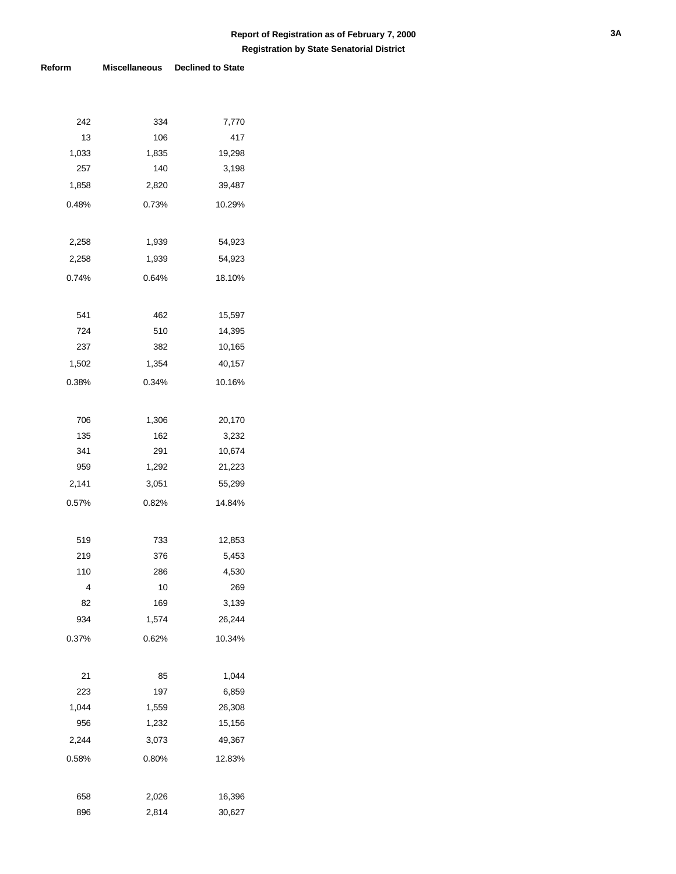| 242   | 334   | 7,770  |
|-------|-------|--------|
| 13    | 106   | 417    |
| 1,033 | 1,835 | 19,298 |
| 257   | 140   | 3,198  |
| 1,858 | 2,820 | 39,487 |
| 0.48% | 0.73% | 10.29% |
|       |       |        |
| 2,258 | 1,939 | 54,923 |
| 2,258 | 1,939 | 54,923 |
| 0.74% | 0.64% | 18.10% |
|       |       |        |
| 541   | 462   | 15,597 |
| 724   | 510   | 14,395 |
| 237   | 382   | 10,165 |
| 1,502 | 1,354 | 40,157 |
| 0.38% | 0.34% | 10.16% |
|       |       |        |
| 706   | 1,306 | 20,170 |
| 135   | 162   | 3,232  |
| 341   | 291   | 10,674 |
| 959   | 1,292 | 21,223 |
| 2,141 | 3,051 | 55,299 |
| 0.57% | 0.82% | 14.84% |
|       |       |        |
| 519   | 733   | 12,853 |
| 219   | 376   | 5,453  |
| 110   | 286   | 4,530  |
| 4     | 10    | 269    |
| 82    | 169   | 3,139  |
| 934   | 1,574 | 26,244 |
| 0.37% | 0.62% | 10.34% |
|       |       |        |
| 21    | 85    | 1,044  |
| 223   | 197   | 6,859  |
| 1,044 | 1,559 | 26,308 |
| 956   | 1,232 | 15,156 |
| 2,244 | 3,073 | 49,367 |
| 0.58% | 0.80% | 12.83% |
|       |       |        |
| 658   | 2,026 | 16,396 |
| 896   | 2,814 | 30,627 |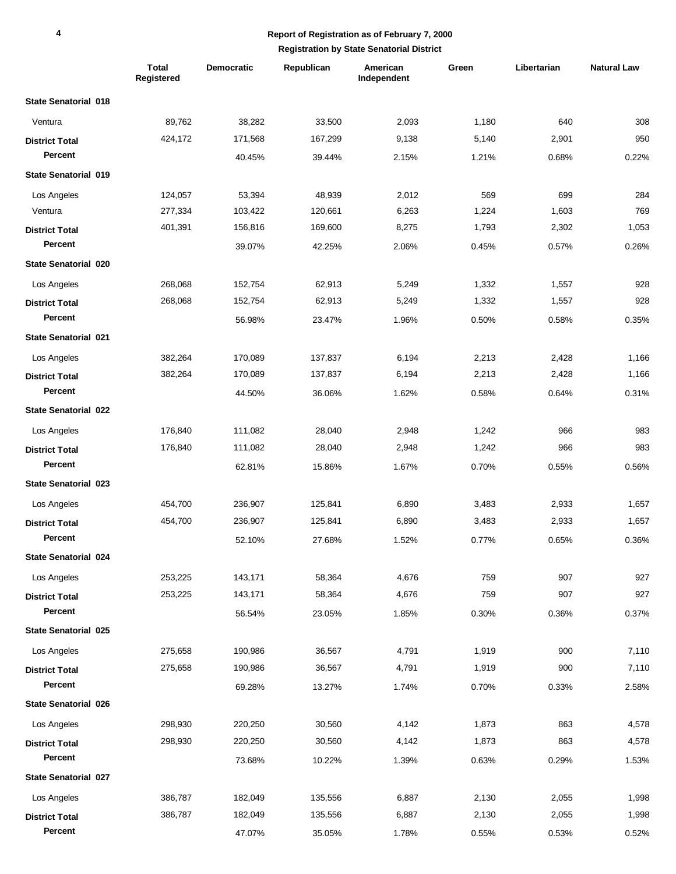### **4**

## **Report of Registration as of February 7, 2000**

|                             | Total<br>Registered | <b>Democratic</b> | Republican | American<br>Independent | Green | Libertarian | <b>Natural Law</b> |
|-----------------------------|---------------------|-------------------|------------|-------------------------|-------|-------------|--------------------|
| <b>State Senatorial 018</b> |                     |                   |            |                         |       |             |                    |
| Ventura                     | 89,762              | 38,282            | 33,500     | 2,093                   | 1,180 | 640         | 308                |
| <b>District Total</b>       | 424,172             | 171,568           | 167,299    | 9,138                   | 5,140 | 2,901       | 950                |
| Percent                     |                     | 40.45%            | 39.44%     | 2.15%                   | 1.21% | 0.68%       | 0.22%              |
| <b>State Senatorial 019</b> |                     |                   |            |                         |       |             |                    |
| Los Angeles                 | 124,057             | 53,394            | 48,939     | 2,012                   | 569   | 699         | 284                |
| Ventura                     | 277,334             | 103,422           | 120,661    | 6,263                   | 1,224 | 1,603       | 769                |
| <b>District Total</b>       | 401,391             | 156,816           | 169,600    | 8,275                   | 1,793 | 2,302       | 1,053              |
| Percent                     |                     | 39.07%            | 42.25%     | 2.06%                   | 0.45% | 0.57%       | 0.26%              |
| <b>State Senatorial 020</b> |                     |                   |            |                         |       |             |                    |
| Los Angeles                 | 268,068             | 152,754           | 62,913     | 5,249                   | 1,332 | 1,557       | 928                |
| <b>District Total</b>       | 268,068             | 152,754           | 62,913     | 5,249                   | 1,332 | 1,557       | 928                |
| Percent                     |                     | 56.98%            | 23.47%     | 1.96%                   | 0.50% | 0.58%       | 0.35%              |
| <b>State Senatorial 021</b> |                     |                   |            |                         |       |             |                    |
| Los Angeles                 | 382,264             | 170,089           | 137,837    | 6,194                   | 2,213 | 2,428       | 1,166              |
| <b>District Total</b>       | 382,264             | 170,089           | 137,837    | 6,194                   | 2,213 | 2,428       | 1,166              |
| Percent                     |                     | 44.50%            | 36.06%     | 1.62%                   | 0.58% | 0.64%       | 0.31%              |
| <b>State Senatorial 022</b> |                     |                   |            |                         |       |             |                    |
| Los Angeles                 | 176,840             | 111,082           | 28,040     | 2,948                   | 1,242 | 966         | 983                |
| <b>District Total</b>       | 176,840             | 111,082           | 28,040     | 2,948                   | 1,242 | 966         | 983                |
| Percent                     |                     | 62.81%            | 15.86%     | 1.67%                   | 0.70% | 0.55%       | 0.56%              |
| <b>State Senatorial 023</b> |                     |                   |            |                         |       |             |                    |
| Los Angeles                 | 454,700             | 236,907           | 125,841    | 6,890                   | 3,483 | 2,933       | 1,657              |
| <b>District Total</b>       | 454,700             | 236,907           | 125,841    | 6,890                   | 3,483 | 2,933       | 1,657              |
| Percent                     |                     | 52.10%            | 27.68%     | 1.52%                   | 0.77% | 0.65%       | 0.36%              |
| <b>State Senatorial 024</b> |                     |                   |            |                         |       |             |                    |
| Los Angeles                 | 253,225             | 143,171           | 58,364     | 4,676                   | 759   | 907         | 927                |
| <b>District Total</b>       | 253,225             | 143,171           | 58,364     | 4,676                   | 759   | 907         | 927                |
| Percent                     |                     | 56.54%            | 23.05%     | 1.85%                   | 0.30% | 0.36%       | 0.37%              |
| <b>State Senatorial 025</b> |                     |                   |            |                         |       |             |                    |
| Los Angeles                 | 275,658             | 190,986           | 36,567     | 4,791                   | 1,919 | 900         | 7,110              |
| <b>District Total</b>       | 275,658             | 190,986           | 36,567     | 4,791                   | 1,919 | 900         | 7,110              |
| Percent                     |                     | 69.28%            | 13.27%     | 1.74%                   | 0.70% | 0.33%       | 2.58%              |
| <b>State Senatorial 026</b> |                     |                   |            |                         |       |             |                    |
| Los Angeles                 | 298,930             | 220,250           | 30,560     | 4,142                   | 1,873 | 863         | 4,578              |
| <b>District Total</b>       | 298,930             | 220,250           | 30,560     | 4,142                   | 1,873 | 863         | 4,578              |
| Percent                     |                     | 73.68%            | 10.22%     | 1.39%                   | 0.63% | 0.29%       | 1.53%              |
| <b>State Senatorial 027</b> |                     |                   |            |                         |       |             |                    |
| Los Angeles                 | 386,787             | 182,049           | 135,556    | 6,887                   | 2,130 | 2,055       | 1,998              |
| <b>District Total</b>       | 386,787             | 182,049           | 135,556    | 6,887                   | 2,130 | 2,055       | 1,998              |
| Percent                     |                     | 47.07%            | 35.05%     | 1.78%                   | 0.55% | 0.53%       | 0.52%              |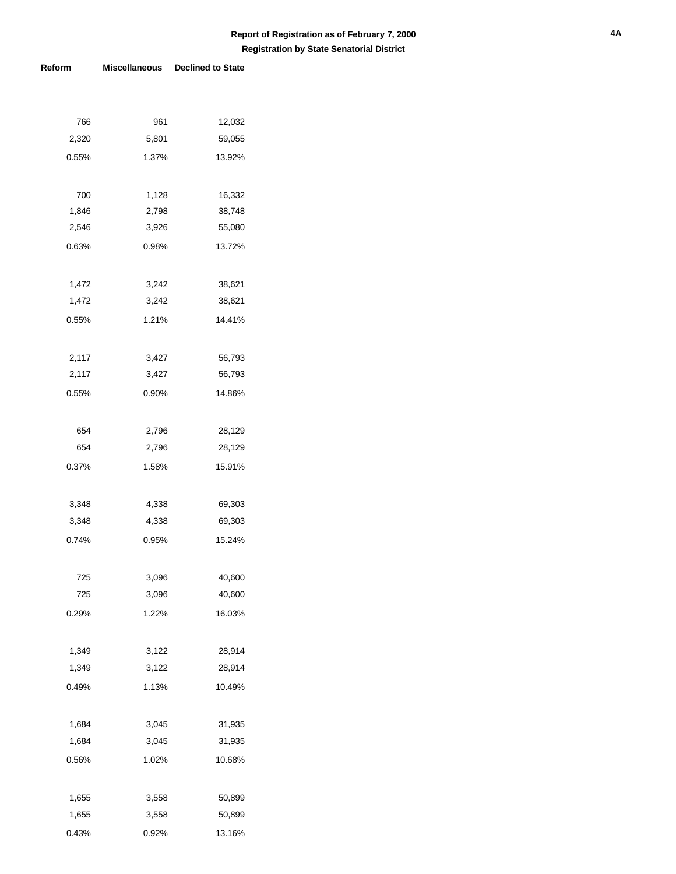| 766   | 961   | 12,032 |
|-------|-------|--------|
| 2,320 | 5,801 | 59,055 |
| 0.55% | 1.37% | 13.92% |
|       |       |        |
| 700   | 1,128 | 16,332 |
| 1,846 | 2,798 | 38,748 |
| 2,546 | 3,926 | 55,080 |
| 0.63% | 0.98% | 13.72% |
|       |       |        |
| 1,472 | 3,242 | 38,621 |
| 1,472 | 3,242 | 38,621 |
| 0.55% | 1.21% | 14.41% |
|       |       |        |
| 2,117 | 3,427 | 56,793 |
| 2,117 | 3,427 | 56,793 |
| 0.55% | 0.90% | 14.86% |
|       |       |        |
| 654   | 2,796 | 28,129 |
| 654   | 2,796 | 28,129 |
| 0.37% | 1.58% | 15.91% |
|       |       |        |
| 3,348 | 4,338 | 69,303 |
| 3,348 | 4,338 | 69,303 |
| 0.74% | 0.95% | 15.24% |
|       |       |        |
| 725   | 3,096 | 40,600 |
| 725   | 3,096 | 40,600 |
| 0.29% | 1.22% | 16.03% |
|       |       |        |
| 1,349 | 3,122 | 28,914 |
| 1,349 | 3,122 | 28,914 |
| 0.49% | 1.13% | 10.49% |
|       |       |        |
| 1,684 | 3,045 | 31,935 |
| 1,684 | 3,045 | 31,935 |
| 0.56% | 1.02% | 10.68% |
|       |       |        |
| 1,655 | 3,558 | 50,899 |
| 1,655 | 3,558 | 50,899 |
| 0.43% | 0.92% | 13.16% |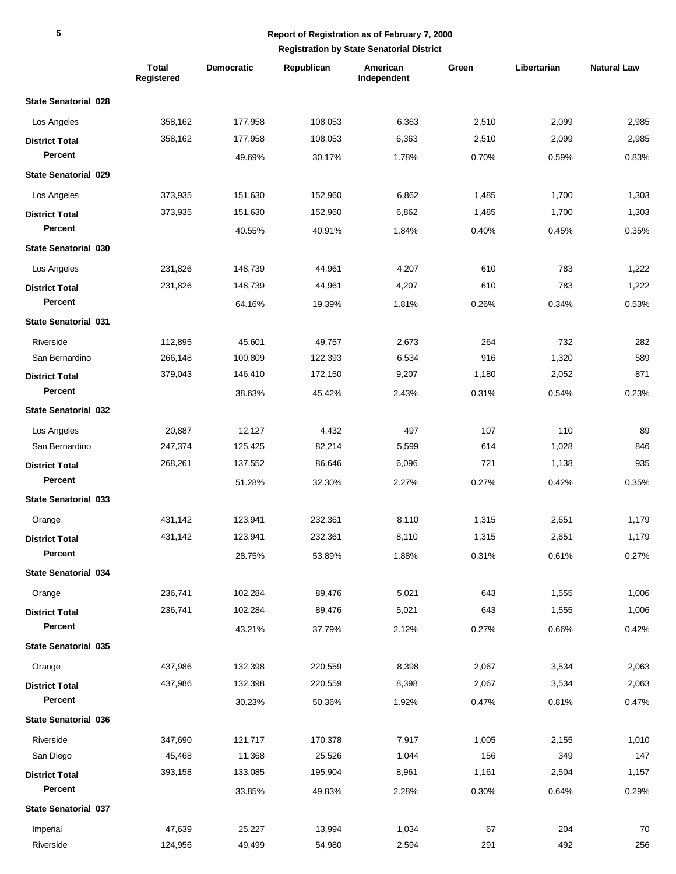|                             | <b>Total</b><br>Registered | <b>Democratic</b> | Republican | American<br>Independent | Green | Libertarian | <b>Natural Law</b> |
|-----------------------------|----------------------------|-------------------|------------|-------------------------|-------|-------------|--------------------|
| <b>State Senatorial 028</b> |                            |                   |            |                         |       |             |                    |
| Los Angeles                 | 358,162                    | 177,958           | 108,053    | 6,363                   | 2,510 | 2,099       | 2,985              |
| <b>District Total</b>       | 358,162                    | 177,958           | 108,053    | 6,363                   | 2,510 | 2,099       | 2,985              |
| Percent                     |                            | 49.69%            | 30.17%     | 1.78%                   | 0.70% | 0.59%       | 0.83%              |
| <b>State Senatorial 029</b> |                            |                   |            |                         |       |             |                    |
| Los Angeles                 | 373,935                    | 151,630           | 152,960    | 6,862                   | 1,485 | 1,700       | 1,303              |
| <b>District Total</b>       | 373,935                    | 151,630           | 152,960    | 6,862                   | 1,485 | 1,700       | 1,303              |
| Percent                     |                            | 40.55%            | 40.91%     | 1.84%                   | 0.40% | 0.45%       | 0.35%              |
| <b>State Senatorial 030</b> |                            |                   |            |                         |       |             |                    |
| Los Angeles                 | 231,826                    | 148,739           | 44,961     | 4,207                   | 610   | 783         | 1,222              |
| <b>District Total</b>       | 231,826                    | 148,739           | 44,961     | 4,207                   | 610   | 783         | 1,222              |
| Percent                     |                            | 64.16%            | 19.39%     | 1.81%                   | 0.26% | 0.34%       | 0.53%              |
| <b>State Senatorial 031</b> |                            |                   |            |                         |       |             |                    |
| Riverside                   | 112,895                    | 45,601            | 49,757     | 2,673                   | 264   | 732         | 282                |
| San Bernardino              | 266,148                    | 100,809           | 122,393    | 6,534                   | 916   | 1,320       | 589                |
| <b>District Total</b>       | 379,043                    | 146,410           | 172,150    | 9,207                   | 1,180 | 2,052       | 871                |
| Percent                     |                            | 38.63%            | 45.42%     | 2.43%                   | 0.31% | 0.54%       | 0.23%              |
| <b>State Senatorial 032</b> |                            |                   |            |                         |       |             |                    |
| Los Angeles                 | 20,887                     | 12,127            | 4,432      | 497                     | 107   | 110         | 89                 |
| San Bernardino              | 247,374                    | 125,425           | 82,214     | 5,599                   | 614   | 1,028       | 846                |
| <b>District Total</b>       | 268,261                    | 137,552           | 86,646     | 6,096                   | 721   | 1,138       | 935                |
| Percent                     |                            | 51.28%            | 32.30%     | 2.27%                   | 0.27% | 0.42%       | 0.35%              |
| <b>State Senatorial 033</b> |                            |                   |            |                         |       |             |                    |
| Orange                      | 431,142                    | 123,941           | 232,361    | 8,110                   | 1,315 | 2,651       | 1,179              |
| <b>District Total</b>       | 431,142                    | 123,941           | 232,361    | 8,110                   | 1,315 | 2,651       | 1,179              |
| Percent                     |                            | 28.75%            | 53.89%     | 1.88%                   | 0.31% | 0.61%       | 0.27%              |
| <b>State Senatorial 034</b> |                            |                   |            |                         |       |             |                    |
| Orange                      | 236,741                    | 102,284           | 89,476     | 5,021                   | 643   | 1,555       | 1,006              |
| <b>District Total</b>       | 236,741                    | 102,284           | 89,476     | 5,021                   | 643   | 1,555       | 1,006              |
| Percent                     |                            | 43.21%            | 37.79%     | 2.12%                   | 0.27% | 0.66%       | 0.42%              |
| <b>State Senatorial 035</b> |                            |                   |            |                         |       |             |                    |
| Orange                      | 437,986                    | 132,398           | 220,559    | 8,398                   | 2,067 | 3,534       | 2,063              |
| <b>District Total</b>       | 437,986                    | 132,398           | 220,559    | 8,398                   | 2,067 | 3,534       | 2,063              |
| Percent                     |                            | 30.23%            | 50.36%     | 1.92%                   | 0.47% | 0.81%       | 0.47%              |
| State Senatorial 036        |                            |                   |            |                         |       |             |                    |
| Riverside                   | 347,690                    | 121,717           | 170,378    | 7,917                   | 1,005 | 2,155       | 1,010              |
| San Diego                   | 45,468                     | 11,368            | 25,526     | 1,044                   | 156   | 349         | 147                |
| <b>District Total</b>       | 393,158                    | 133,085           | 195,904    | 8,961                   | 1,161 | 2,504       | 1,157              |
| Percent                     |                            | 33.85%            | 49.83%     | 2.28%                   | 0.30% | 0.64%       | 0.29%              |
| <b>State Senatorial 037</b> |                            |                   |            |                         |       |             |                    |
| Imperial                    | 47,639                     | 25,227            | 13,994     | 1,034                   | 67    | 204         | 70                 |
| Riverside                   | 124,956                    | 49,499            | 54,980     | 2,594                   | 291   | 492         | 256                |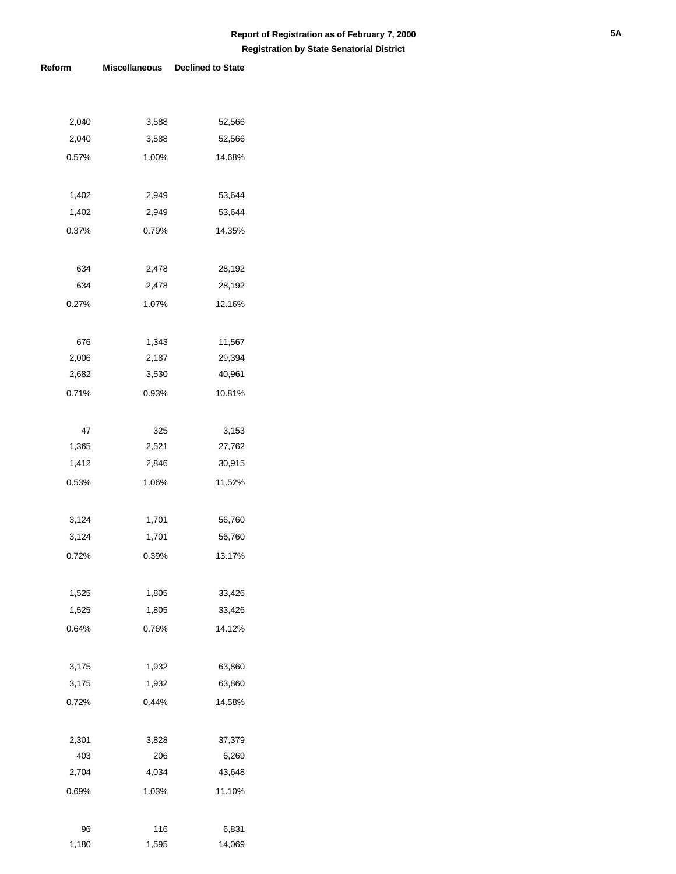| 2,040 | 3,588 | 52,566 |
|-------|-------|--------|
| 2,040 | 3,588 | 52,566 |
| 0.57% | 1.00% | 14.68% |
|       |       |        |
| 1,402 | 2,949 | 53,644 |
| 1,402 | 2,949 | 53,644 |
| 0.37% | 0.79% | 14.35% |
|       |       |        |
| 634   | 2,478 | 28,192 |
| 634   | 2,478 | 28,192 |
| 0.27% | 1.07% | 12.16% |
|       |       |        |
| 676   | 1,343 | 11,567 |
| 2,006 | 2,187 | 29,394 |
| 2,682 | 3,530 | 40,961 |
| 0.71% | 0.93% | 10.81% |
|       |       |        |
| 47    | 325   | 3,153  |
| 1,365 | 2,521 | 27,762 |
| 1,412 | 2,846 | 30,915 |
| 0.53% | 1.06% | 11.52% |
|       |       |        |
| 3,124 | 1,701 | 56,760 |
| 3,124 | 1,701 | 56,760 |
| 0.72% | 0.39% | 13.17% |
|       |       |        |
| 1,525 | 1,805 | 33,426 |
| 1,525 | 1,805 | 33,426 |
| 0.64% | 0.76% | 14.12% |
|       |       |        |
| 3,175 | 1,932 | 63,860 |
| 3,175 | 1,932 | 63,860 |
| 0.72% | 0.44% | 14.58% |
|       |       |        |
| 2,301 | 3,828 | 37,379 |
| 403   | 206   | 6,269  |
| 2,704 | 4,034 | 43,648 |
| 0.69% | 1.03% | 11.10% |
|       |       |        |
| 96    | 116   | 6,831  |
| 1,180 | 1,595 | 14,069 |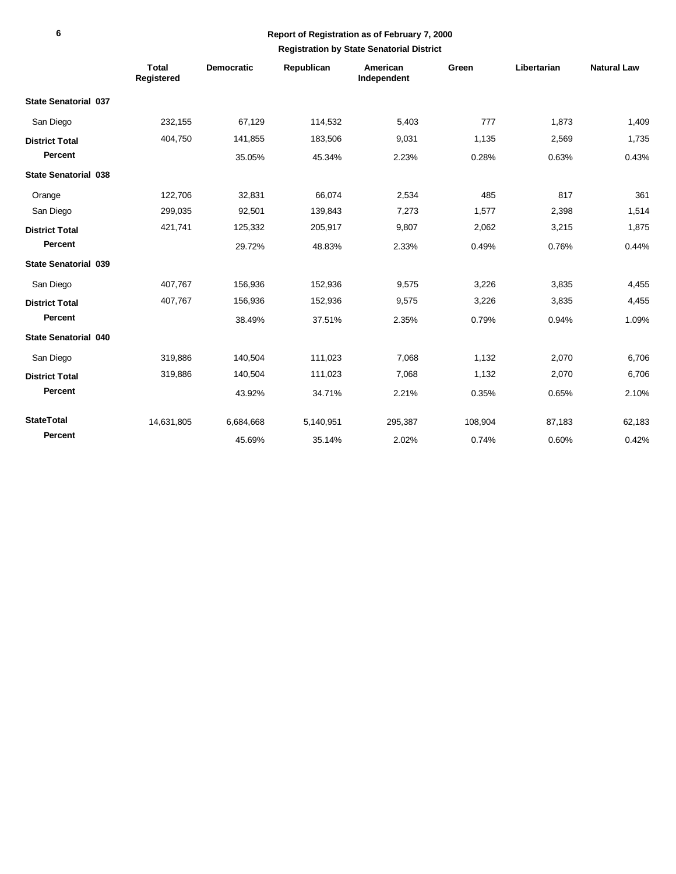|                             | <b>Total</b><br>Registered | <b>Democratic</b> | Republican | American<br>Independent | Green   | Libertarian | <b>Natural Law</b> |
|-----------------------------|----------------------------|-------------------|------------|-------------------------|---------|-------------|--------------------|
| <b>State Senatorial 037</b> |                            |                   |            |                         |         |             |                    |
| San Diego                   | 232,155                    | 67,129            | 114,532    | 5,403                   | 777     | 1,873       | 1,409              |
| <b>District Total</b>       | 404,750                    | 141,855           | 183,506    | 9,031                   | 1,135   | 2,569       | 1,735              |
| Percent                     |                            | 35.05%            | 45.34%     | 2.23%                   | 0.28%   | 0.63%       | 0.43%              |
| <b>State Senatorial 038</b> |                            |                   |            |                         |         |             |                    |
| Orange                      | 122,706                    | 32,831            | 66,074     | 2,534                   | 485     | 817         | 361                |
| San Diego                   | 299,035                    | 92,501            | 139,843    | 7,273                   | 1,577   | 2,398       | 1,514              |
| <b>District Total</b>       | 421,741                    | 125,332           | 205,917    | 9.807                   | 2,062   | 3,215       | 1,875              |
| Percent                     |                            | 29.72%            | 48.83%     | 2.33%                   | 0.49%   | 0.76%       | 0.44%              |
| <b>State Senatorial 039</b> |                            |                   |            |                         |         |             |                    |
| San Diego                   | 407,767                    | 156,936           | 152,936    | 9,575                   | 3,226   | 3,835       | 4,455              |
| <b>District Total</b>       | 407,767                    | 156,936           | 152,936    | 9,575                   | 3,226   | 3,835       | 4,455              |
| Percent                     |                            | 38.49%            | 37.51%     | 2.35%                   | 0.79%   | 0.94%       | 1.09%              |
| <b>State Senatorial 040</b> |                            |                   |            |                         |         |             |                    |
| San Diego                   | 319,886                    | 140,504           | 111,023    | 7,068                   | 1,132   | 2,070       | 6,706              |
| <b>District Total</b>       | 319,886                    | 140,504           | 111,023    | 7,068                   | 1,132   | 2,070       | 6,706              |
| Percent                     |                            | 43.92%            | 34.71%     | 2.21%                   | 0.35%   | 0.65%       | 2.10%              |
| <b>StateTotal</b>           | 14,631,805                 | 6,684,668         | 5,140,951  | 295,387                 | 108,904 | 87,183      | 62,183             |
| Percent                     |                            | 45.69%            | 35.14%     | 2.02%                   | 0.74%   | 0.60%       | 0.42%              |